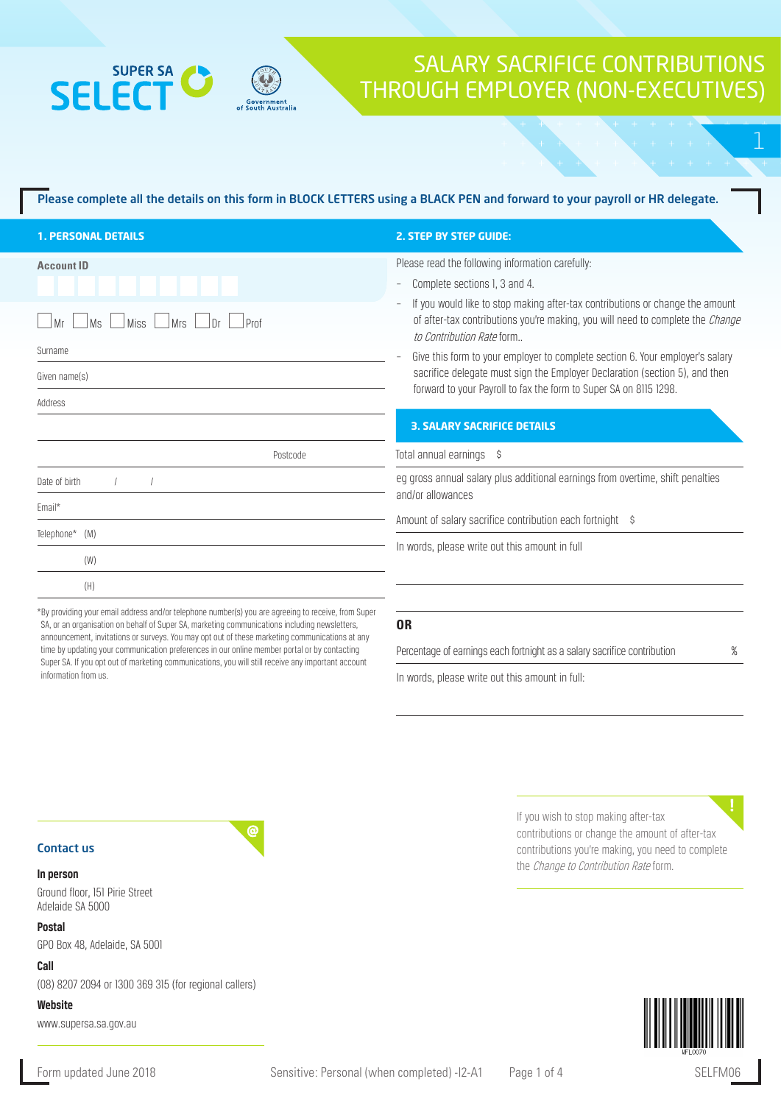## **SUPER SA SELEC**

## SALARY SACRIFICE CONTRIBUTIONS THROUGH EMPLOYER (NON-EXECUTIVES)

### Please complete all the details on this form in BLOCK LETTERS using a BLACK PEN and forward to your payroll or HR delegate.

| <b>1. PERSONAL DETAILS</b>                                                     | <b>2. STEP BY STEP GUIDE:</b>                                                                                                                                                                                                                                                            |  |  |
|--------------------------------------------------------------------------------|------------------------------------------------------------------------------------------------------------------------------------------------------------------------------------------------------------------------------------------------------------------------------------------|--|--|
| <b>Account ID</b><br>Miss L<br><b>Ms</b><br>$\Box$ Mrs<br>Prof<br>l Mr<br>l Dr | Please read the following information carefully:<br>Complete sections 1, 3 and 4.<br>If you would like to stop making after-tax contributions or change the amount<br>of after-tax contributions you're making, you will need to complete the <i>Change</i><br>to Contribution Rate form |  |  |
| Surname<br>Given name(s)<br>Address                                            | Give this form to your employer to complete section 6. Your employer's salary<br>sacrifice delegate must sign the Employer Declaration (section 5), and then<br>forward to your Payroll to fax the form to Super SA on 8115 1298.<br><b>3. SALARY SACRIFICE DETAILS</b>                  |  |  |
| Postcode                                                                       | Total annual earnings \$                                                                                                                                                                                                                                                                 |  |  |
| Date of birth<br>Email*<br>Telephone* (M)                                      | eq gross annual salary plus additional earnings from overtime, shift penalties<br>and/or allowances<br>Amount of salary sacrifice contribution each fortnight \$                                                                                                                         |  |  |
| (W)<br>(H)                                                                     | In words, please write out this amount in full                                                                                                                                                                                                                                           |  |  |

\*By providing your email address and/or telephone number(s) you are agreeing to receive, from Super SA, or an organisation on behalf of Super SA, marketing communications including newsletters, announcement, invitations or surveys. You may opt out of these marketing communications at any time by updating your communication preferences in our online member portal or by contacting Super SA. If you opt out of marketing communications, you will still receive any important account information from us.

ര

### **OR**

Percentage of earnings each fortnight as a salary sacrifice contribution  $\%$ 

In words, please write out this amount in full:

Contact us

### **In person**

Ground floor, 151 Pirie Street Adelaide SA 5000

### **Postal**

GPO Box 48, Adelaide, SA 5001

### **Call**

(08) 8207 2094 or 1300 369 315 (for regional callers)

**Website**

www.supersa.sa.gov.au

If you wish to stop making after-tax contributions or change the amount of after-tax contributions you're making, you need to complete the *Change to Contribution Rate* form.

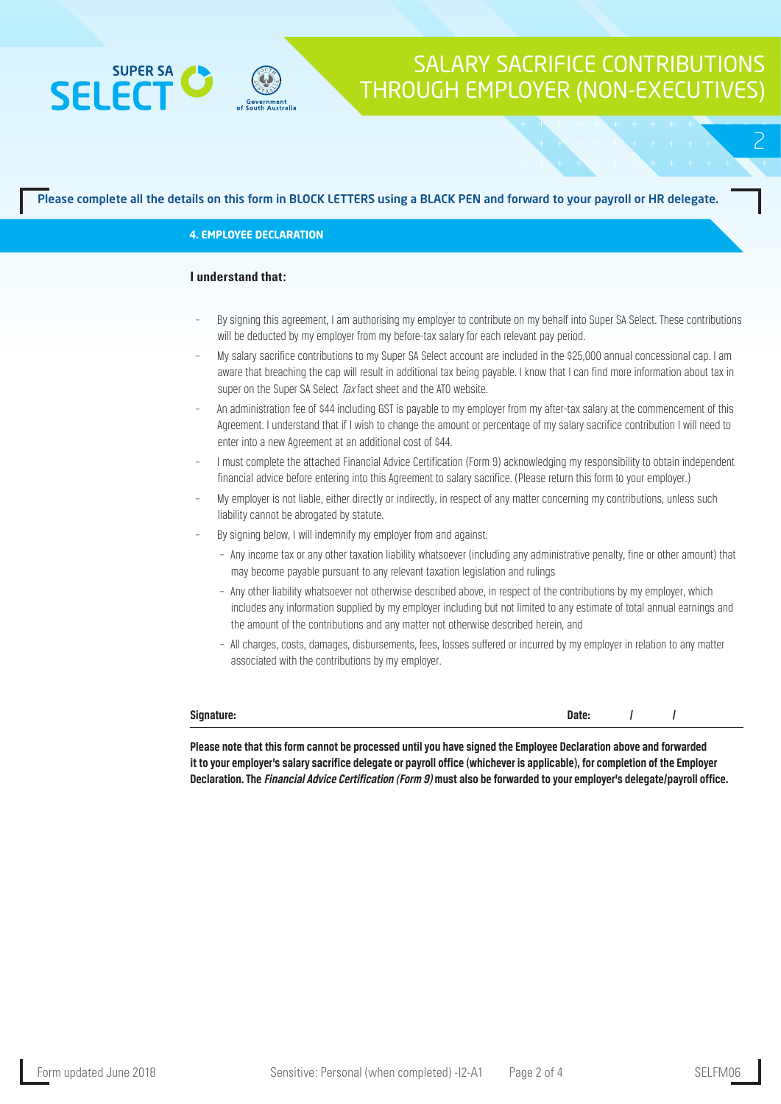



2

### Please complete all the details on this form in BLOCK LETTERS using a BLACK PEN and forward to your payroll or HR delegate.

### **4. EMPLOYEE DECLARATION**

### **I understand that:**

- By signing this agreement, I am authorising my employer to contribute on my behalf into Super SA Select. These contributions will be deducted by my employer from my before-tax salary for each relevant pay period.
- My salary sacrifice contributions to my Super SA Select account are included in the \$25,000 annual concessional cap. I am aware that breaching the cap will result in additional tax being payable. I know that I can find more information about tax in super on the Super SA Select Tax fact sheet and the ATO website.
- An administration fee of \$44 including GST is payable to my employer from my after-tax salary at the commencement of this Agreement. I understand that if I wish to change the amount or percentage of my salary sacrifice contribution I will need to enter into a new Agreement at an additional cost of \$44.
- I must complete the attached Financial Advice Certification (Form 9) acknowledging my responsibility to obtain independent financial advice before entering into this Agreement to salary sacrifice. (Please return this form to your employer.)
- My employer is not liable, either directly or indirectly, in respect of any matter concerning my contributions, unless such liability cannot be abrogated by statute.
- By signing below, I will indemnify my employer from and against:
	- Any income tax or any other taxation liability whatsoever (including any administrative penalty, fine or other amount) that may become payable pursuant to any relevant taxation legislation and rulings
	- Any other liability whatsoever not otherwise described above, in respect of the contributions by my employer, which includes any information supplied by my employer including but not limited to any estimate of total annual earnings and the amount of the contributions and any matter not otherwise described herein, and
	- All charges, costs, damages, disbursements, fees, losses suffered or incurred by my employer in relation to any matter associated with the contributions by my employer.

**Signature: Date: / /**

**Please note that this form cannot be processed until you have signed the Employee Declaration above and forwarded it to your employer's salary sacrifice delegate or payroll office (whichever is applicable), for completion of the Employer Declaration. The Financial Advice Certification (Form 9) must also be forwarded to your employer's delegate/payroll office.**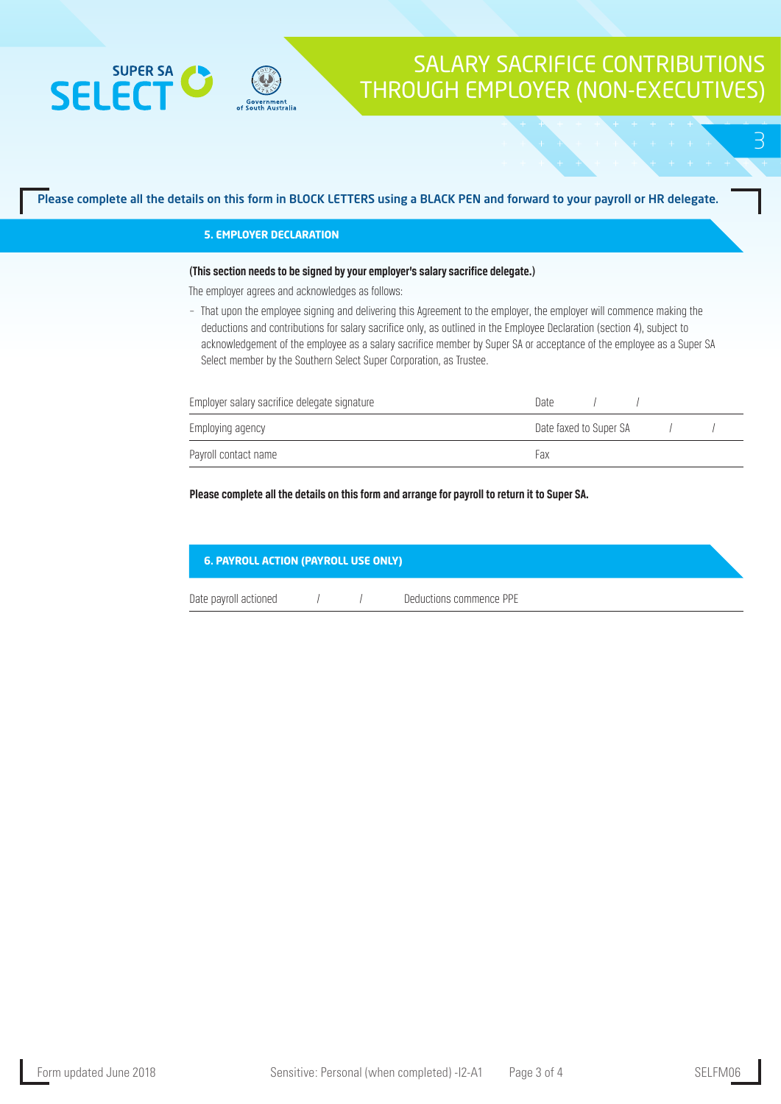

## SALARY SACRIFICE CONTRIBUTIONS THROUGH EMPLOYER (NON-EXECUTIVES)

3

### Please complete all the details on this form in BLOCK LETTERS using a BLACK PEN and forward to your payroll or HR delegate.

### **5. EMPLOYER DECLARATION**

### **(This section needs to be signed by your employer's salary sacrifice delegate.)**

The employer agrees and acknowledges as follows:

– That upon the employee signing and delivering this Agreement to the employer, the employer will commence making the deductions and contributions for salary sacrifice only, as outlined in the Employee Declaration (section 4), subject to acknowledgement of the employee as a salary sacrifice member by Super SA or acceptance of the employee as a Super SA Select member by the Southern Select Super Corporation, as Trustee.

| Employer salary sacrifice delegate signature | Date                   |  |
|----------------------------------------------|------------------------|--|
| Employing agency                             | Date faxed to Super SA |  |
| Payroll contact name                         | Fax                    |  |

### **Please complete all the details on this form and arrange for payroll to return it to Super SA.**

| <b>6. PAYROLL ACTION (PAYROLL USE ONLY)</b> |  |  |                         |  |  |
|---------------------------------------------|--|--|-------------------------|--|--|
| Date payroll actioned                       |  |  | Deductions commence PPE |  |  |